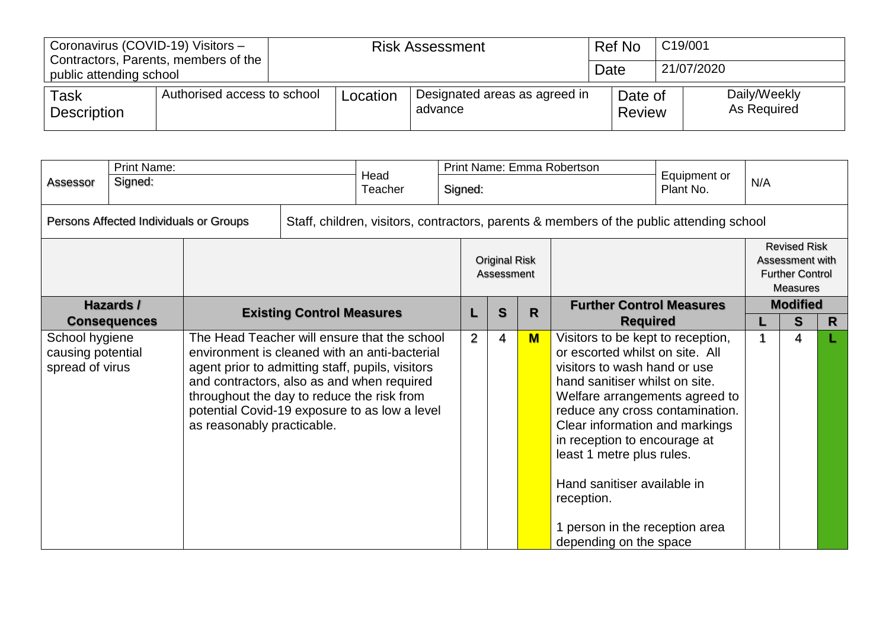| Coronavirus (COVID-19) Visitors - | Contractors, Parents, members of the |          | <b>Risk Assessment</b>                   | Ref No            | C19/001                     |  |  |  |
|-----------------------------------|--------------------------------------|----------|------------------------------------------|-------------------|-----------------------------|--|--|--|
| public attending school           |                                      |          |                                          | Date              | 21/07/2020                  |  |  |  |
| Task<br><b>Description</b>        | Authorised access to school          | Location | Designated areas as agreed in<br>advance | Date of<br>Review | Daily/Weekly<br>As Required |  |  |  |

|                                                        | <b>Print Name:</b>                            |                                                                                                                                                                                                                                                                                                                              | Head |         |                                      |              |                                                    | Print Name: Emma Robertson                                                                                                                                                                                                                                                                                                                                                                                          |  |                      |                                                                                     |  |  |
|--------------------------------------------------------|-----------------------------------------------|------------------------------------------------------------------------------------------------------------------------------------------------------------------------------------------------------------------------------------------------------------------------------------------------------------------------------|------|---------|--------------------------------------|--------------|----------------------------------------------------|---------------------------------------------------------------------------------------------------------------------------------------------------------------------------------------------------------------------------------------------------------------------------------------------------------------------------------------------------------------------------------------------------------------------|--|----------------------|-------------------------------------------------------------------------------------|--|--|
| Assessor                                               | Signed:                                       |                                                                                                                                                                                                                                                                                                                              |      | Teacher | Equipment or<br>Signed:<br>Plant No. |              |                                                    |                                                                                                                                                                                                                                                                                                                                                                                                                     |  |                      | N/A                                                                                 |  |  |
|                                                        | Persons Affected Individuals or Groups        |                                                                                                                                                                                                                                                                                                                              |      |         |                                      |              |                                                    | Staff, children, visitors, contractors, parents & members of the public attending school                                                                                                                                                                                                                                                                                                                            |  |                      |                                                                                     |  |  |
|                                                        | Hazards /<br><b>Existing Control Measures</b> |                                                                                                                                                                                                                                                                                                                              |      |         |                                      |              | <b>Original Risk</b><br>Assessment                 |                                                                                                                                                                                                                                                                                                                                                                                                                     |  |                      | <b>Revised Risk</b><br>Assessment with<br><b>Further Control</b><br><b>Measures</b> |  |  |
|                                                        | <b>Consequences</b>                           |                                                                                                                                                                                                                                                                                                                              |      | L       | $\mathbf{s}$                         | $\mathsf{R}$ | <b>Further Control Measures</b><br><b>Required</b> |                                                                                                                                                                                                                                                                                                                                                                                                                     |  | <b>Modified</b><br>S | R                                                                                   |  |  |
| School hygiene<br>causing potential<br>spread of virus |                                               | The Head Teacher will ensure that the school<br>environment is cleaned with an anti-bacterial<br>agent prior to admitting staff, pupils, visitors<br>and contractors, also as and when required<br>throughout the day to reduce the risk from<br>potential Covid-19 exposure to as low a level<br>as reasonably practicable. |      |         | 2                                    | 4            | $M$                                                | Visitors to be kept to reception,<br>or escorted whilst on site. All<br>visitors to wash hand or use<br>hand sanitiser whilst on site.<br>Welfare arrangements agreed to<br>reduce any cross contamination.<br>Clear information and markings<br>in reception to encourage at<br>least 1 metre plus rules.<br>Hand sanitiser available in<br>reception.<br>1 person in the reception area<br>depending on the space |  |                      | 4                                                                                   |  |  |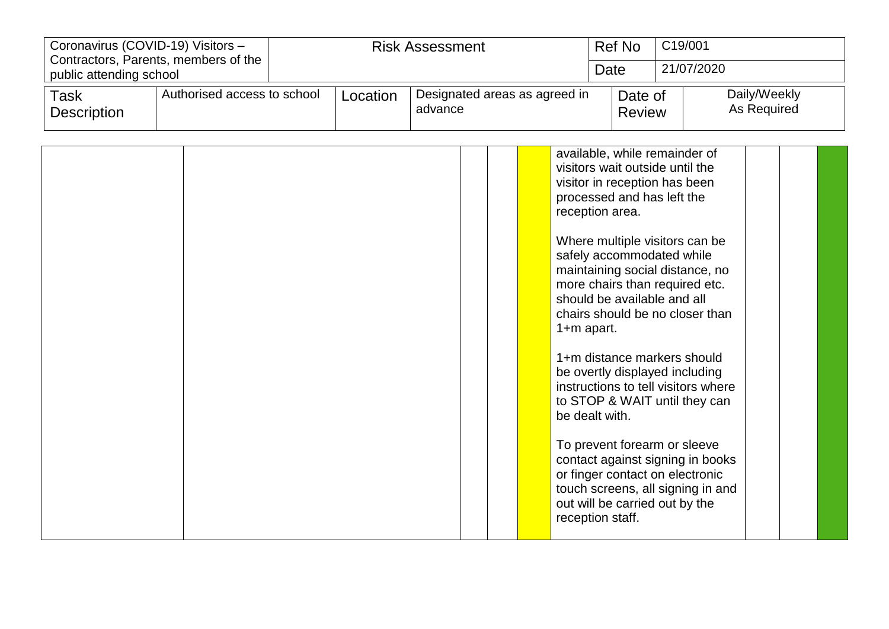| Coronavirus (COVID-19) Visitors - | Contractors, Parents, members of the |          | <b>Risk Assessment</b>                   | Ref No                   | C19/001                     |
|-----------------------------------|--------------------------------------|----------|------------------------------------------|--------------------------|-----------------------------|
| public attending school           |                                      |          |                                          | Date                     | 21/07/2020                  |
| Task<br><b>Description</b>        | Authorised access to school          | Location | Designated areas as agreed in<br>advance | Date of<br><b>Review</b> | Daily/Weekly<br>As Required |

|  |  | available, while remainder of<br>visitors wait outside until the<br>visitor in reception has been<br>processed and has left the<br>reception area.                                                               |  |  |
|--|--|------------------------------------------------------------------------------------------------------------------------------------------------------------------------------------------------------------------|--|--|
|  |  | Where multiple visitors can be<br>safely accommodated while<br>maintaining social distance, no<br>more chairs than required etc.<br>should be available and all<br>chairs should be no closer than<br>1+m apart. |  |  |
|  |  | 1+m distance markers should<br>be overtly displayed including<br>instructions to tell visitors where<br>to STOP & WAIT until they can<br>be dealt with.                                                          |  |  |
|  |  | To prevent forearm or sleeve<br>contact against signing in books<br>or finger contact on electronic<br>touch screens, all signing in and<br>out will be carried out by the<br>reception staff.                   |  |  |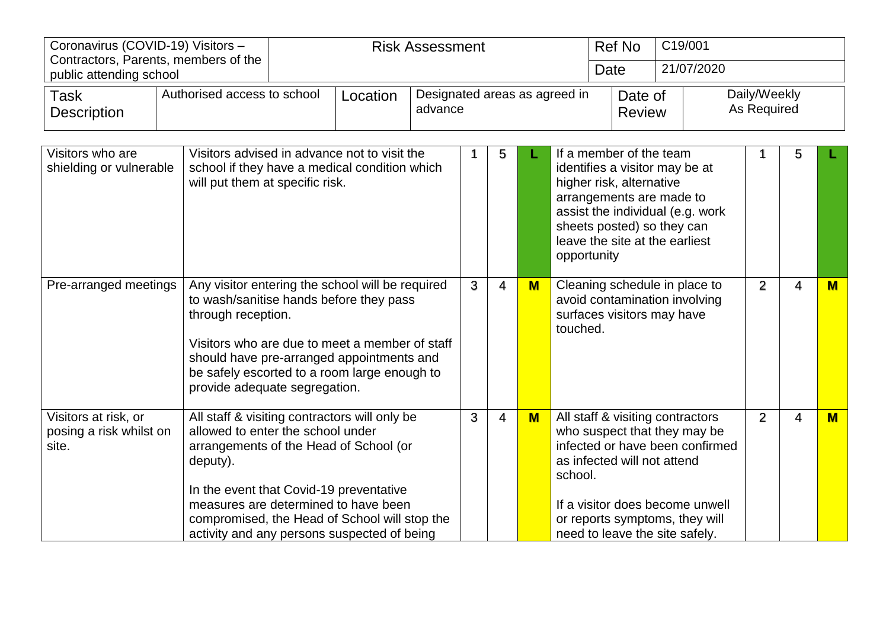| Coronavirus (COVID-19) Visitors - | Contractors, Parents, members of the |          | <b>Risk Assessment</b>                   | <b>Ref No</b>            | C19/001                     |
|-----------------------------------|--------------------------------------|----------|------------------------------------------|--------------------------|-----------------------------|
| public attending school           |                                      |          |                                          | Date                     | 21/07/2020                  |
| Task<br><b>Description</b>        | Authorised access to school          | Location | Designated areas as agreed in<br>advance | Date of<br><b>Review</b> | Daily/Weekly<br>As Required |

| Visitors who are<br>shielding or vulnerable              | Visitors advised in advance not to visit the<br>school if they have a medical condition which<br>will put them at specific risk.                                                                                                                                                                                            |   | 5              |     | If a member of the team<br>identifies a visitor may be at<br>higher risk, alternative<br>arrangements are made to<br>assist the individual (e.g. work<br>sheets posted) so they can<br>leave the site at the earliest<br>opportunity                 |   | 5 |     |
|----------------------------------------------------------|-----------------------------------------------------------------------------------------------------------------------------------------------------------------------------------------------------------------------------------------------------------------------------------------------------------------------------|---|----------------|-----|------------------------------------------------------------------------------------------------------------------------------------------------------------------------------------------------------------------------------------------------------|---|---|-----|
| Pre-arranged meetings                                    | Any visitor entering the school will be required<br>to wash/sanitise hands before they pass<br>through reception.<br>Visitors who are due to meet a member of staff<br>should have pre-arranged appointments and<br>be safely escorted to a room large enough to<br>provide adequate segregation.                           | 3 | $\overline{4}$ | $M$ | Cleaning schedule in place to<br>avoid contamination involving<br>surfaces visitors may have<br>touched.                                                                                                                                             | 2 | 4 | $M$ |
| Visitors at risk, or<br>posing a risk whilst on<br>site. | All staff & visiting contractors will only be<br>allowed to enter the school under<br>arrangements of the Head of School (or<br>deputy).<br>In the event that Covid-19 preventative<br>measures are determined to have been<br>compromised, the Head of School will stop the<br>activity and any persons suspected of being | 3 | 4              | $M$ | All staff & visiting contractors<br>who suspect that they may be<br>infected or have been confirmed<br>as infected will not attend<br>school.<br>If a visitor does become unwell<br>or reports symptoms, they will<br>need to leave the site safely. | 2 | 4 | M   |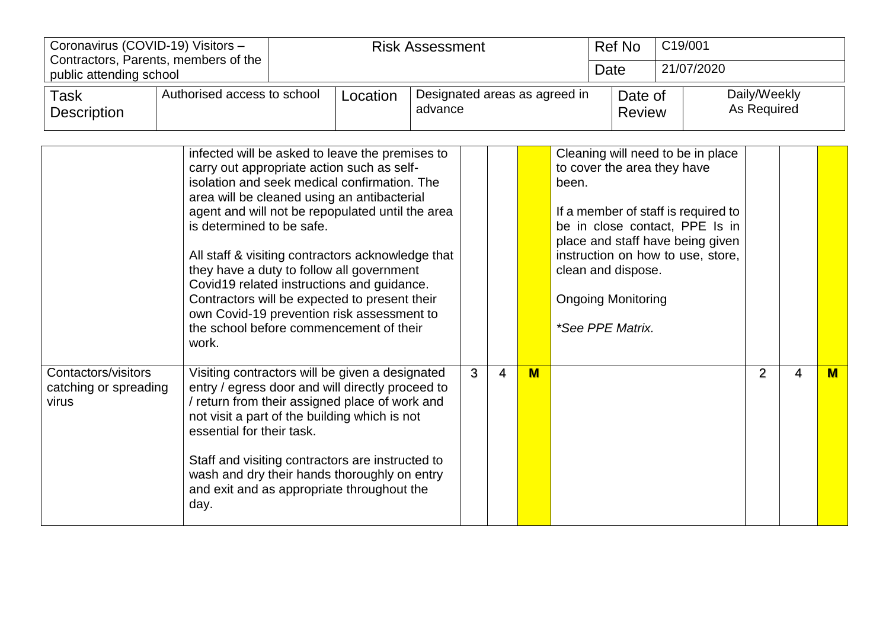| Coronavirus (COVID-19) Visitors - |                                      |          | <b>Risk Assessment</b>                   | <b>Ref No</b>            | C19/001                     |
|-----------------------------------|--------------------------------------|----------|------------------------------------------|--------------------------|-----------------------------|
| public attending school           | Contractors, Parents, members of the |          |                                          | Date                     | 21/07/2020                  |
| Task<br><b>Description</b>        | Authorised access to school          | Location | Designated areas as agreed in<br>advance | Date of<br><b>Review</b> | Daily/Weekly<br>As Required |

|                                                       | infected will be asked to leave the premises to<br>carry out appropriate action such as self-<br>isolation and seek medical confirmation. The<br>area will be cleaned using an antibacterial<br>agent and will not be repopulated until the area<br>is determined to be safe.<br>All staff & visiting contractors acknowledge that<br>they have a duty to follow all government<br>Covid19 related instructions and guidance.<br>Contractors will be expected to present their<br>own Covid-19 prevention risk assessment to<br>the school before commencement of their<br>work. |   |   |   | Cleaning will need to be in place<br>to cover the area they have<br>been.<br>If a member of staff is required to<br>be in close contact, PPE Is in<br>place and staff have being given<br>instruction on how to use, store,<br>clean and dispose.<br><b>Ongoing Monitoring</b><br>*See PPE Matrix. |   |   |     |
|-------------------------------------------------------|----------------------------------------------------------------------------------------------------------------------------------------------------------------------------------------------------------------------------------------------------------------------------------------------------------------------------------------------------------------------------------------------------------------------------------------------------------------------------------------------------------------------------------------------------------------------------------|---|---|---|----------------------------------------------------------------------------------------------------------------------------------------------------------------------------------------------------------------------------------------------------------------------------------------------------|---|---|-----|
| Contactors/visitors<br>catching or spreading<br>virus | Visiting contractors will be given a designated<br>entry / egress door and will directly proceed to<br>/ return from their assigned place of work and<br>not visit a part of the building which is not<br>essential for their task.<br>Staff and visiting contractors are instructed to<br>wash and dry their hands thoroughly on entry<br>and exit and as appropriate throughout the<br>day.                                                                                                                                                                                    | 3 | 4 | M |                                                                                                                                                                                                                                                                                                    | 2 | 4 | $M$ |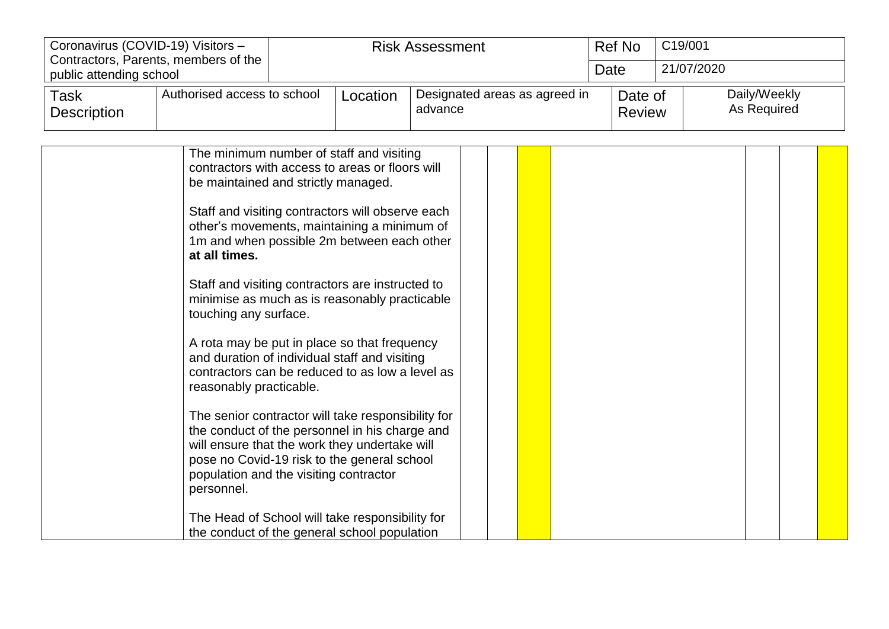| Coronavirus (COVID-19) Visitors - | Contractors, Parents, members of the |          | <b>Risk Assessment</b>                   | Ref No                   | C19/001                     |
|-----------------------------------|--------------------------------------|----------|------------------------------------------|--------------------------|-----------------------------|
| public attending school           |                                      |          |                                          | Date                     | 21/07/2020                  |
| Task<br><b>Description</b>        | Authorised access to school          | Location | Designated areas as agreed in<br>advance | Date of<br><b>Review</b> | Daily/Weekly<br>As Required |

| The minimum number of staff and visiting<br>contractors with access to areas or floors will<br>be maintained and strictly managed.                                                                                                                           |  |  |  |  |
|--------------------------------------------------------------------------------------------------------------------------------------------------------------------------------------------------------------------------------------------------------------|--|--|--|--|
| Staff and visiting contractors will observe each<br>other's movements, maintaining a minimum of<br>1m and when possible 2m between each other<br>at all times.                                                                                               |  |  |  |  |
| Staff and visiting contractors are instructed to<br>minimise as much as is reasonably practicable<br>touching any surface.                                                                                                                                   |  |  |  |  |
| A rota may be put in place so that frequency<br>and duration of individual staff and visiting<br>contractors can be reduced to as low a level as<br>reasonably practicable.                                                                                  |  |  |  |  |
| The senior contractor will take responsibility for<br>the conduct of the personnel in his charge and<br>will ensure that the work they undertake will<br>pose no Covid-19 risk to the general school<br>population and the visiting contractor<br>personnel. |  |  |  |  |
| The Head of School will take responsibility for<br>the conduct of the general school population                                                                                                                                                              |  |  |  |  |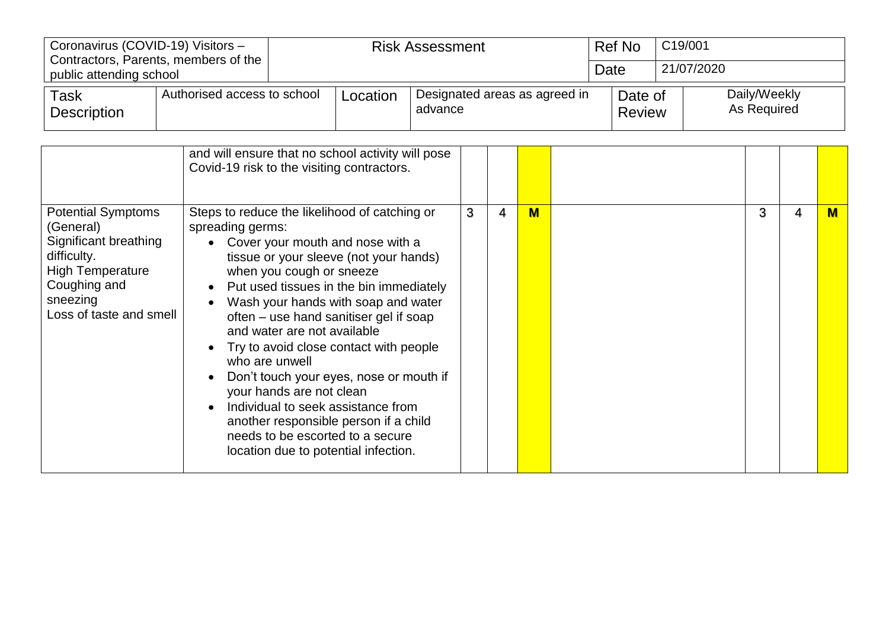| Coronavirus (COVID-19) Visitors - | Contractors, Parents, members of the |          | <b>Risk Assessment</b>                   | Ref No                   | C19/001 |                             |
|-----------------------------------|--------------------------------------|----------|------------------------------------------|--------------------------|---------|-----------------------------|
| public attending school           |                                      |          |                                          | Date                     |         | 21/07/2020                  |
| Task<br><b>Description</b>        | Authorised access to school          | Location | Designated areas as agreed in<br>advance | Date of<br><b>Review</b> |         | Daily/Weekly<br>As Required |

|                                                                                                                                                                  | and will ensure that no school activity will pose<br>Covid-19 risk to the visiting contractors.                                                                                                                                                                                                                                                                                                                                                                                                                                                                                                                                      |   |   |     |   |   |  |
|------------------------------------------------------------------------------------------------------------------------------------------------------------------|--------------------------------------------------------------------------------------------------------------------------------------------------------------------------------------------------------------------------------------------------------------------------------------------------------------------------------------------------------------------------------------------------------------------------------------------------------------------------------------------------------------------------------------------------------------------------------------------------------------------------------------|---|---|-----|---|---|--|
| <b>Potential Symptoms</b><br>(General)<br>Significant breathing<br>difficulty.<br><b>High Temperature</b><br>Coughing and<br>sneezing<br>Loss of taste and smell | Steps to reduce the likelihood of catching or<br>spreading germs:<br>Cover your mouth and nose with a<br>tissue or your sleeve (not your hands)<br>when you cough or sneeze<br>Put used tissues in the bin immediately<br>Wash your hands with soap and water<br>often – use hand sanitiser gel if soap<br>and water are not available<br>Try to avoid close contact with people<br>who are unwell<br>Don't touch your eyes, nose or mouth if<br>your hands are not clean<br>Individual to seek assistance from<br>another responsible person if a child<br>needs to be escorted to a secure<br>location due to potential infection. | 3 | 4 | $M$ | 3 | 4 |  |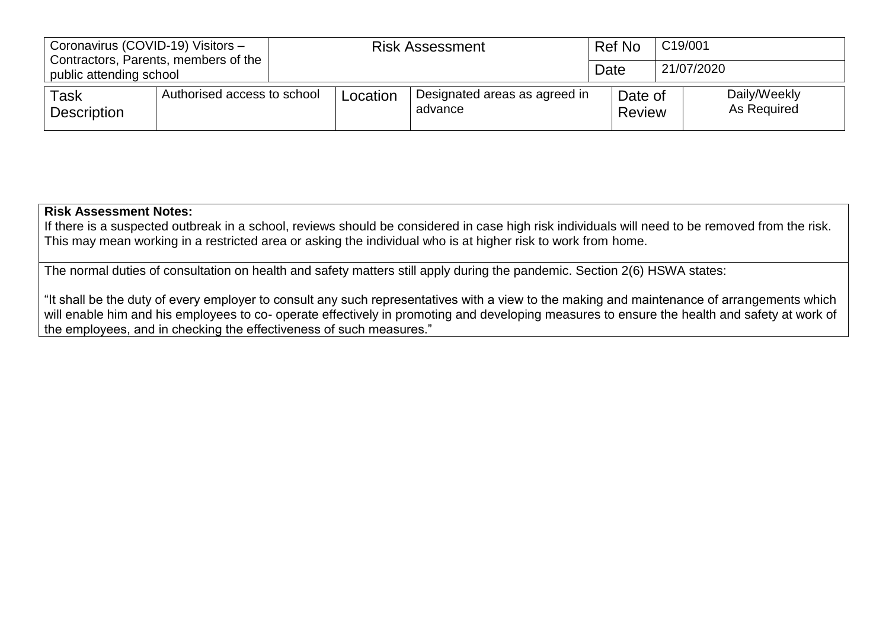| Coronavirus (COVID-19) Visitors -<br>Contractors, Parents, members of the<br>public attending school |                             | <b>Risk Assessment</b> |          |                                          | Ref No                   | C19/001                     |
|------------------------------------------------------------------------------------------------------|-----------------------------|------------------------|----------|------------------------------------------|--------------------------|-----------------------------|
|                                                                                                      |                             |                        |          |                                          | Date                     | 21/07/2020                  |
| Task<br><b>Description</b>                                                                           | Authorised access to school |                        | Location | Designated areas as agreed in<br>advance | Date of<br><b>Review</b> | Daily/Weekly<br>As Required |

## **Risk Assessment Notes:**

If there is a suspected outbreak in a school, reviews should be considered in case high risk individuals will need to be removed from the risk. This may mean working in a restricted area or asking the individual who is at higher risk to work from home.

The normal duties of consultation on health and safety matters still apply during the pandemic. Section 2(6) HSWA states:

"It shall be the duty of every employer to consult any such representatives with a view to the making and maintenance of arrangements which will enable him and his employees to co- operate effectively in promoting and developing measures to ensure the health and safety at work of the employees, and in checking the effectiveness of such measures."